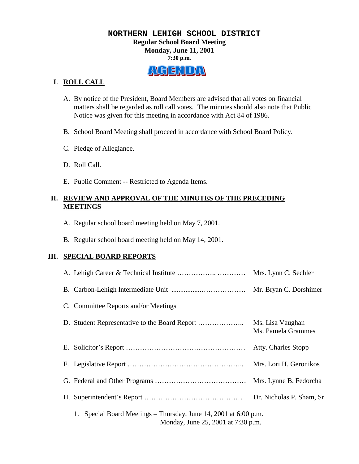## **NORTHERN LEHIGH SCHOOL DISTRICT Regular School Board Meeting Monday, June 11, 2001 7:30 p.m.**

# ALGENIDAN

## **I**. **ROLL CALL**

- A. By notice of the President, Board Members are advised that all votes on financial matters shall be regarded as roll call votes. The minutes should also note that Public Notice was given for this meeting in accordance with Act 84 of 1986.
- B. School Board Meeting shall proceed in accordance with School Board Policy.
- C. Pledge of Allegiance.
- D. Roll Call.
- E. Public Comment -- Restricted to Agenda Items.

# **II. REVIEW AND APPROVAL OF THE MINUTES OF THE PRECEDING MEETINGS**

- A. Regular school board meeting held on May 7, 2001.
- B. Regular school board meeting held on May 14, 2001.

# **III. SPECIAL BOARD REPORTS**

|                                                                                                           |  | Mrs. Lynn C. Sechler                   |
|-----------------------------------------------------------------------------------------------------------|--|----------------------------------------|
|                                                                                                           |  |                                        |
| C. Committee Reports and/or Meetings                                                                      |  |                                        |
|                                                                                                           |  | Ms. Lisa Vaughan<br>Ms. Pamela Grammes |
|                                                                                                           |  | Atty. Charles Stopp                    |
|                                                                                                           |  | Mrs. Lori H. Geronikos                 |
|                                                                                                           |  | Mrs. Lynne B. Fedorcha                 |
|                                                                                                           |  | Dr. Nicholas P. Sham, Sr.              |
| Special Board Meetings – Thursday, June 14, 2001 at 6:00 p.m.<br>1.<br>Monday, June 25, 2001 at 7:30 p.m. |  |                                        |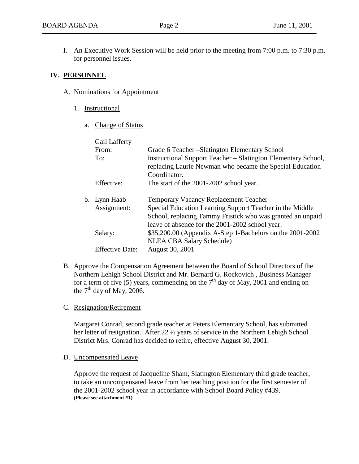I. An Executive Work Session will be held prior to the meeting from 7:00 p.m. to 7:30 p.m. for personnel issues.

## **IV. PERSONNEL**

- A. Nominations for Appointment
	- 1. Instructional
		- a. Change of Status

| Gail Lafferty          |                                                                                                                                                  |  |  |  |
|------------------------|--------------------------------------------------------------------------------------------------------------------------------------------------|--|--|--|
| From:                  | Grade 6 Teacher – Slatington Elementary School                                                                                                   |  |  |  |
| To:                    | <b>Instructional Support Teacher – Slatington Elementary School,</b><br>replacing Laurie Newman who became the Special Education<br>Coordinator. |  |  |  |
| Effective:             | The start of the 2001-2002 school year.                                                                                                          |  |  |  |
| b. Lynn Haab           | <b>Temporary Vacancy Replacement Teacher</b>                                                                                                     |  |  |  |
| Assignment:            | Special Education Learning Support Teacher in the Middle                                                                                         |  |  |  |
|                        | School, replacing Tammy Fristick who was granted an unpaid                                                                                       |  |  |  |
|                        | leave of absence for the 2001-2002 school year.                                                                                                  |  |  |  |
| Salary:                | \$35,200.00 (Appendix A-Step 1-Bachelors on the 2001-2002                                                                                        |  |  |  |
|                        | NLEA CBA Salary Schedule)                                                                                                                        |  |  |  |
| <b>Effective Date:</b> | August 30, 2001                                                                                                                                  |  |  |  |

B. Approve the Compensation Agreement between the Board of School Directors of the Northern Lehigh School District and Mr. Bernard G. Rockovich , Business Manager for a term of five (5) years, commencing on the  $7<sup>th</sup>$  day of May, 2001 and ending on the  $7<sup>th</sup>$  day of May, 2006.

#### C. Resignation/Retirement

Margaret Conrad, second grade teacher at Peters Elementary School, has submitted her letter of resignation. After 22 ½ years of service in the Northern Lehigh School District Mrs. Conrad has decided to retire, effective August 30, 2001.

D. Uncompensated Leave

Approve the request of Jacqueline Sham, Slatington Elementary third grade teacher, to take an uncompensated leave from her teaching position for the first semester of the 2001-2002 school year in accordance with School Board Policy #439. **(Please see attachment #1)**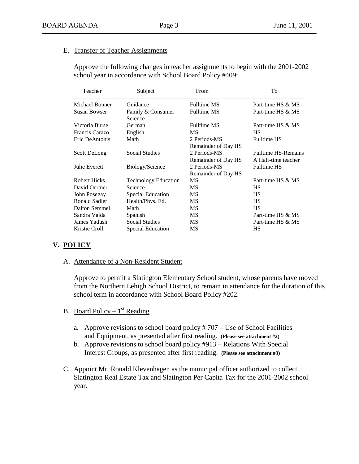## E. Transfer of Teacher Assignments

Approve the following changes in teacher assignments to begin with the 2001-2002 school year in accordance with School Board Policy #409:

| Teacher              | Subject                      | From                                | To                                                |
|----------------------|------------------------------|-------------------------------------|---------------------------------------------------|
| Michael Bonner       | Guidance                     | <b>Fulltime MS</b>                  | Part-time HS & MS                                 |
| <b>Susan Bowser</b>  | Family & Consumer<br>Science | <b>Fulltime MS</b>                  | Part-time HS & MS                                 |
| Victoria Burse       | German                       | <b>Fulltime MS</b>                  | Part-time HS & MS                                 |
| Francis Carazo       | English                      | <b>MS</b>                           | <b>HS</b>                                         |
| Eric DeAntonis       | Math                         | 2 Periods-MS<br>Remainder of Day HS | <b>Fulltime HS</b>                                |
| <b>Scott DeLong</b>  | <b>Social Studies</b>        | 2 Periods-MS<br>Remainder of Day HS | <b>Fulltime HS-Remains</b><br>A Half-time teacher |
| Julie Everett        | Biology/Science              | 2 Periods-MS<br>Remainder of Day HS | <b>Fulltime HS</b>                                |
| <b>Robert Hicks</b>  | <b>Technology Education</b>  | <b>MS</b>                           | Part-time HS & MS                                 |
| David Oertner        | Science                      | MS                                  | <b>HS</b>                                         |
| John Posegay         | <b>Special Education</b>     | MS                                  | <b>HS</b>                                         |
| <b>Ronald Sadler</b> | Health/Phys. Ed.             | MS                                  | <b>HS</b>                                         |
| Dalton Semmel        | Math                         | MS.                                 | <b>HS</b>                                         |
| Sandra Vajda         | Spanish                      | MS                                  | Part-time HS & MS                                 |
| James Yadush         | Social Studies               | MS                                  | Part-time HS & MS                                 |
| Kristie Croll        | Special Education            | MS                                  | HS                                                |
|                      |                              |                                     |                                                   |

#### **V. POLICY**

A. Attendance of a Non-Resident Student

Approve to permit a Slatington Elementary School student, whose parents have moved from the Northern Lehigh School District, to remain in attendance for the duration of this school term in accordance with School Board Policy #202.

- B. Board Policy  $1<sup>st</sup>$  Reading
	- a. Approve revisions to school board policy # 707 Use of School Facilities and Equipment, as presented after first reading. **(Please see attachment #2)**
	- b. Approve revisions to school board policy #913 Relations With Special Interest Groups, as presented after first reading. **(Please see attachment #3)**
- C. Appoint Mr. Ronald Klevenhagen as the municipal officer authorized to collect Slatington Real Estate Tax and Slatington Per Capita Tax for the 2001-2002 school year.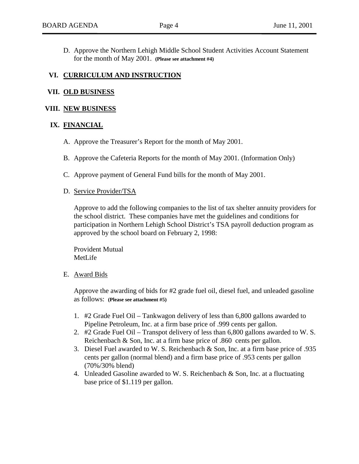D. Approve the Northern Lehigh Middle School Student Activities Account Statement for the month of May 2001. **(Please see attachment #4)**

## **VI. CURRICULUM AND INSTRUCTION**

#### **VII. OLD BUSINESS**

#### **VIII. NEW BUSINESS**

#### **IX. FINANCIAL**

- A. Approve the Treasurer's Report for the month of May 2001.
- B. Approve the Cafeteria Reports for the month of May 2001. (Information Only)
- C. Approve payment of General Fund bills for the month of May 2001.

#### D. Service Provider/TSA

Approve to add the following companies to the list of tax shelter annuity providers for the school district. These companies have met the guidelines and conditions for participation in Northern Lehigh School District's TSA payroll deduction program as approved by the school board on February 2, 1998:

Provident Mutual MetLife

#### E. Award Bids

Approve the awarding of bids for #2 grade fuel oil, diesel fuel, and unleaded gasoline as follows: **(Please see attachment #5)**

- 1. #2 Grade Fuel Oil Tankwagon delivery of less than 6,800 gallons awarded to Pipeline Petroleum, Inc. at a firm base price of .999 cents per gallon.
- 2. #2 Grade Fuel Oil Transpot delivery of less than 6,800 gallons awarded to W. S. Reichenbach & Son, Inc. at a firm base price of .860 cents per gallon.
- 3. Diesel Fuel awarded to W. S. Reichenbach & Son, Inc. at a firm base price of .935 cents per gallon (normal blend) and a firm base price of .953 cents per gallon (70%/30% blend)
- 4. Unleaded Gasoline awarded to W. S. Reichenbach & Son, Inc. at a fluctuating base price of \$1.119 per gallon.